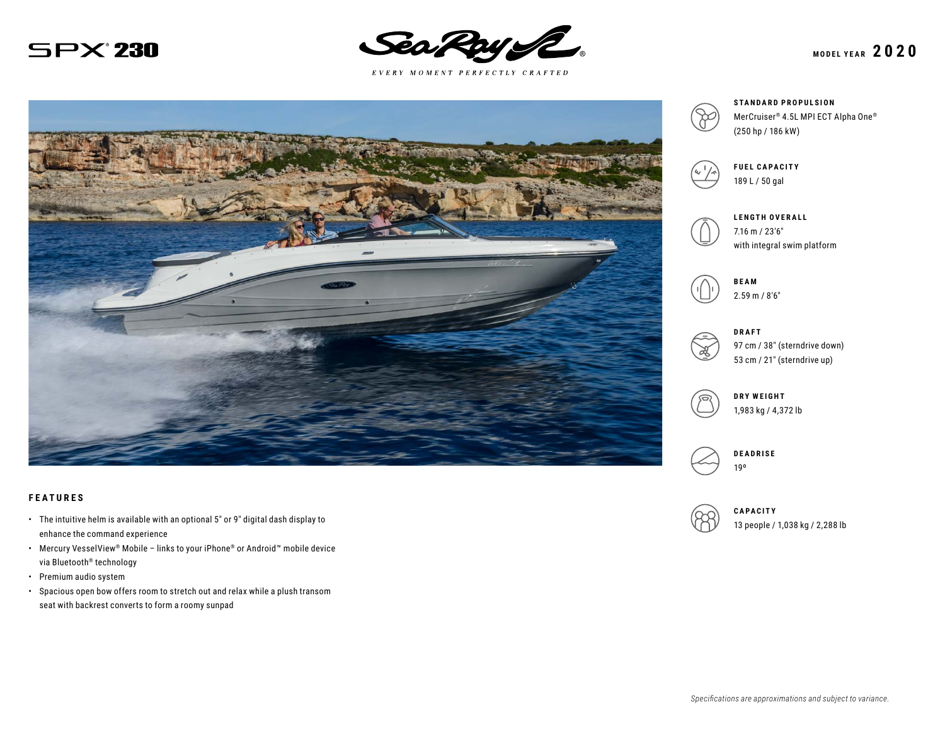



 $E \; V \; E \; R \; Y \quad M \; O \; M \; E \; N \; T \quad P \; E \; R \; F \; E \; C \; T \; L \; Y \quad C \; R \; A \; F \; T \; E \; D$ 



#### **FEATURES**

- The intuitive helm is available with an optional 5″ or 9″ digital dash display to enhance the command experience
- Mercury VesselView® Mobile links to your iPhone® or Android™ mobile device via Bluetooth® technology
- Premium audio system
- Spacious open bow offers room to stretch out and relax while a plush transom seat with backrest converts to form a roomy sunpad



**STANDARD PROPULSION** MerCruiser® 4.5L MPI ECT Alpha One® (250 hp / 186 kW)



**FUEL CAPACITY** 189 L / 50 gal



**LENGTH OVERALL** 7.16 m / 23′6″ with integral swim platform





97 cm / 38″ (sterndrive down) 53 cm / 21″ (sterndrive up)





19º

**CAPACITY** 13 people / 1,038 kg / 2,288 lb